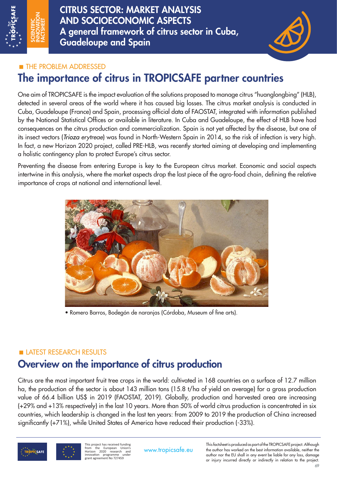

CITRUS SECTOR: MARKET ANALYSIS AND SOCIOECONOMIC ASPECTS A general framework of citrus sector in Cuba, Guadeloupe and Spain



## **THE PROBLEM ADDRESSED**

# The importance of citrus in TROPICSAFE partner countries

One aim of TROPICSAFE is the impact evaluation of the solutions proposed to manage citrus "huanglongbing" (HLB), detected in several areas of the world where it has caused big losses. The citrus market analysis is conducted in Cuba, Guadeloupe (France) and Spain, processing official data of FAOSTAT, integrated with information published by the National Statistical Offices or available in literature. In Cuba and Guadeloupe, the effect of HLB have had consequences on the citrus production and commercialization. Spain is not yet affected by the disease, but one of its insect vectors (*Trioza erytreae*) was found in North-Western Spain in 2014, so the risk of infection is very high. In fact, a new Horizon 2020 project, called PRE-HLB, was recently started aiming at developing and implementing a holistic contingency plan to protect Europe's citrus sector.

Preventing the disease from entering Europe is key to the European citrus market. Economic and social aspects intertwine in this analysis, where the market aspects drop the last piece of the agro-food chain, defining the relative importance of crops at national and international level.



• Romero Barros, Bodegón de naranjas (Córdoba, Museum of fine arts).

## LATEST RESEARCH RESULTS

# Overview on the importance of citrus production

Citrus are the most important fruit tree crops in the world: cultivated in 168 countries on a surface of 12.7 million ha, the production of the sector is about 143 million tons (15.8 t/ha of yield on average) for a gross production value of 66.4 billion US\$ in 2019 (FAOSTAT, 2019). Globally, production and harvested area are increasing (+29% and +13% respectively) in the last 10 years. More than 50% of world citrus production is concentrated in six countries, which leadership is changed in the last ten years: from 2009 to 2019 the production of China increased significantly (+71%), while United States of America have reduced their production (-33%).



This project has received funding from the European Union's Horizon 2020 research and innovation programme under grant agreement No 727459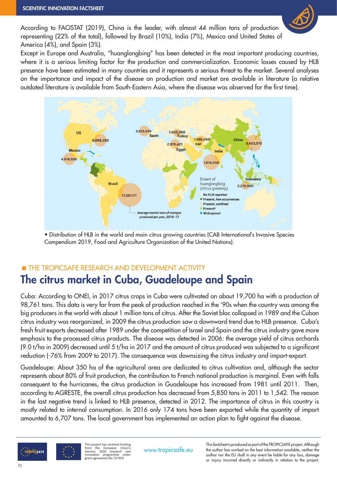

According to FAOSTAT (2019), China is the leader, with almost 44 million tons of production representing (22% of the total), followed by Brazil (10%), India (7%), Mexico and United States of America (4%), and Spain (3%).

Except in Europe and Australia, "huanglongbing" has been detected in the most important producing countries, where it is a serious limiting factor for the production and commercialization. Economic losses caused by HLB presence have been estimated in many countries and it represents a serious threat to the market. Several analyses on the importance and impact of the disease on production and market are available in literature (a relative outdated literature is available from South-Eastern Asia, where the disease was observed for the first time).



• Distribution of HLB in the world and main citrus growing countries (CAB International's Invasive Species Compendium 2019, Food and Agriculture Organization of the United Nations).

## **THE TROPICSAFE RESEARCH AND DEVELOPMENT ACTIVITY** The citrus market in Cuba, Guadeloupe and Spain

Cuba: According to ONEI, in 2017 citrus crops in Cuba were cultivated on about 19,700 ha with a production of 98,761 tons. This data is very far from the peak of production reached in the '90s when the country was among the big producers in the world with about 1 million tons of citrus. After the Soviet bloc collapsed in 1989 and the Cuban citrus industry was reorganized, in 2009 the citrus production saw a downward trend due to HLB presence. Cuba's fresh fruit exports decreased after 1989 under the competition of Israel and Spain and the citrus industry gave more emphasis to the processed citrus products. The disease was detected in 2006: the average yield of citrus orchards (9.0 t/ha in 2009) decreased until 5 t/ha in 2017 and the amount of citrus produced was subjected to a significant reduction (-76% from 2009 to 2017). The consequence was downsizing the citrus industry and import-export.

Guadeloupe: About 350 ha of the agricultural area are dedicated to citrus cultivation and, although the sector represents about 80% of fruit production, the contribution to French national production is marginal. Even with falls consequent to the hurricanes, the citrus production in Guadeloupe has increased from 1981 until 2011. Then, according to AGRESTE, the overall citrus production has decreased from 5,850 tons in 2011 to 1,542. The reason in the last negative trend is linked to HLB presence, detected in 2012. The importance of citrus in this country is mostly related to internal consumption. In 2016 only 174 tons have been exported while the quantity of import amounted to 6,707 tons. The local government has implemented an action plan to fight against the disease.



This project has received funding from the European Union's Horizon 2020 research and innovation programme under grant agreement No 727459

This factsheet is produced as part of the TROPICSAFE project. Although<br>www.tropicsafe.eu the author has worked on the best information available, neither the author nor the EU shall in any event be liable for any loss, damage or injury incurred directly or indirectly in relation to the project.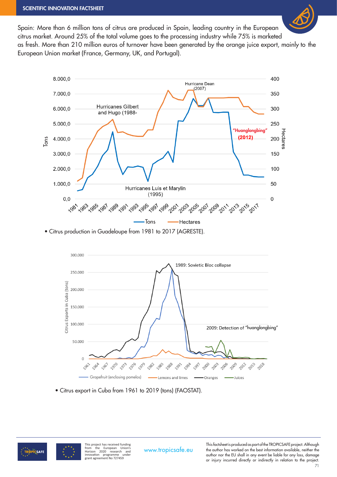

Spain: More than 6 million tons of citrus are produced in Spain, leading country in the European citrus market. Around 25% of the total volume goes to the processing industry while 75% is marketed as fresh. More than 210 million euros of turnover have been generated by the orange juice export, mainly to the European Union market (France, Germany, UK, and Portugal).



• Citrus production in Guadeloupe from 1981 to 2017 (AGRESTE).



• Citrus export in Cuba from 1961 to 2019 (tons) (FAOSTAT).



This project has received funding<br>
Horizon 2020 research and<br>
Horizon 2020 research and<br>
innovation programme under<br>
grant agreement No 727459

This factsheet is produced as part of the TROPICSAFE project. Although<br>www.tropicsafe.eu the author has worked on the best information available, neither the author nor the EU shall in any event be liable for any loss, damage or injury incurred directly or indirectly in relation to the project.